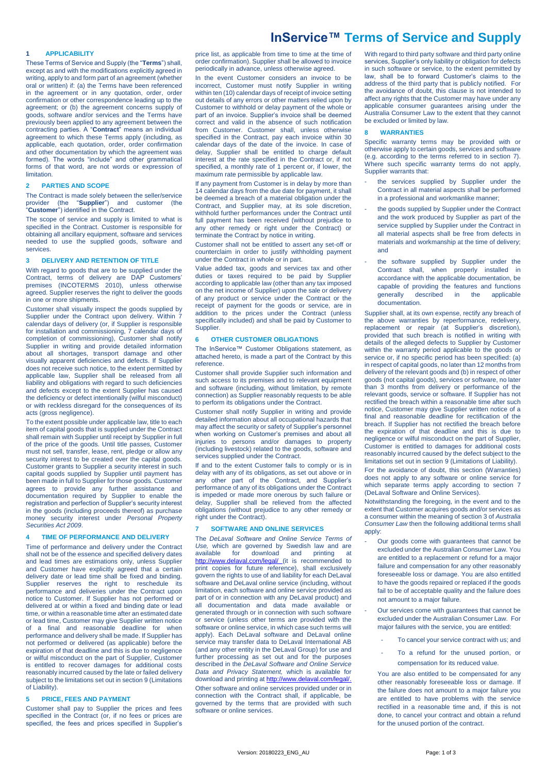# **InService™ Terms of Service and Supply**

# **1 APPLICABILITY**

These Terms of Service and Supply (the "**Terms**") shall, except as and with the modifications explicitly agreed in writing, apply to and form part of an agreement (whether oral or written) if: (a) the Terms have been referenced in the agreement or in any quotation, order, order confirmation or other correspondence leading up to the agreement; or (b) the agreement concerns supply of goods, software and/or services and the Terms have previously been applied to any agreement between the contracting parties. A "**Contract**" means an individual agreement to which these Terms apply (including, as applicable, each quotation, order, order confirmation and other documentation by which the agreement was formed). The words "include" and other grammatical forms of that word, are not words or expression of limitation.

# **2 PARTIES AND SCOPE**

The Contract is made solely between the seller/service<br>provider (the "Supplier") and customer (the provider (the "**Supplier**") and customer (the "**Customer**") identified in the Contract.

The scope of service and supply is limited to what is specified in the Contract. Customer is responsible for obtaining all ancillary equipment, software and services needed to use the supplied goods, software and services.

# **3 DELIVERY AND RETENTION OF TITLE**

With regard to goods that are to be supplied under the Contract, terms of delivery are DAP Customers' premises (INCOTERMS 2010), unless otherwise agreed. Supplier reserves the right to deliver the goods in one or more shipments.

Customer shall visually inspect the goods supplied by Supplier under the Contract upon delivery. Within 7 calendar days of delivery (or, if Supplier is responsible for installation and commissioning, 7 calendar days of completion of commissioning), Customer shall notify Supplier in writing and provide detailed information about all shortages, transport damage and other visually apparent deficiencies and defects. If Supplier does not receive such notice, to the extent permitted by applicable law, Supplier shall be released from all liability and obligations with regard to such deficiencies and defects except to the extent Supplier has caused the deficiency or defect intentionally (wilful misconduct) or with reckless disregard for the consequences of its acts (gross negligence).

To the extent possible under applicable law, title to each item of capital goods that is supplied under the Contract shall remain with Supplier until receipt by Supplier in full of the price of the goods. Until title passes, Customer must not sell, transfer, lease, rent, pledge or allow any security interest to be created over the capital goods. Customer grants to Supplier a security interest in such capital goods supplied by Supplier until payment has been made in full to Supplier for those goods. Customer agrees to provide any further assistance and documentation required by Supplier to enable the registration and perfection of Supplier's security interest in the goods (including proceeds thereof) as purchase money security interest under *Personal Property Securities Act 2009*.

# **4 TIME OF PERFORMANCE AND DELIVERY**

Time of performance and delivery under the Contract shall not be of the essence and specified delivery dates and lead times are estimations only, unless Supplier and Customer have explicitly agreed that a certain delivery date or lead time shall be fixed and binding. Supplier reserves the right to reschedule its performance and deliveries under the Contract upon notice to Customer. If Supplier has not performed or delivered at or within a fixed and binding date or lead time, or within a reasonable time after an estimated date or lead time, Customer may give Supplier written notice of a final and reasonable deadline for when performance and delivery shall be made. If Supplier has not performed or delivered (as applicable) before the expiration of that deadline and this is due to negligence or wilful misconduct on the part of Supplier, Customer is entitled to recover damages for additional costs reasonably incurred caused by the late or failed delivery subject to the limitations set out in sectio[n 9](#page-1-0) (Limitations of Liability).

# <span id="page-0-1"></span>**5 PRICE, FEES AND PAYMENT**

Customer shall pay to Supplier the prices and fees specified in the Contract (or, if no fees or prices are specified, the fees and prices specified in Supplier's price list, as applicable from time to time at the time of order confirmation). Supplier shall be allowed to invoice periodically in advance, unless otherwise agreed.

In the event Customer considers an invoice to be incorrect, Customer must notify Supplier in writing within ten (10) calendar days of receipt of invoice setting out details of any errors or other matters relied upon by Customer to withhold or delay payment of the whole or part of an invoice. Supplier's invoice shall be deemed correct and valid in the absence of such notification from Customer. Customer shall, unless otherwise specified in the Contract, pay each invoice within 30 calendar days of the date of the invoice. In case of delay, Supplier shall be entitled to charge default interest at the rate specified in the Contract or, if not specified, a monthly rate of 1 percent or, if lower, the maximum rate permissible by applicable law.

If any payment from Customer is in delay by more than 14 calendar days from the due date for payment, it shall be deemed a breach of a material obligation under the Contract, and Supplier may, at its sole discretion, withhold further performances under the Contract until full payment has been received (without prejudice to any other remedy or right under the Contract) or terminate the Contract by notice in writing.

Customer shall not be entitled to assert any set-off or counterclaim in order to justify withholding payment under the Contract in whole or in part.

Value added tax, goods and services tax and other duties or taxes required to be paid by Supplier according to applicable law (other than any tax imposed on the net income of Supplier) upon the sale or delivery of any product or service under the Contract or the receipt of payment for the goods or service, are in addition to the prices under the Contract (unless specifically included) and shall be paid by Customer to Supplier.

### **6 OTHER CUSTOMER OBLIGATIONS**

The InService™ Customer Obligations statement, as attached hereto, is made a part of the Contract by this reference.

Customer shall provide Supplier such information and such access to its premises and to relevant equipment and software (including, without limitation, by remote connection) as Supplier reasonably requests to be able to perform its obligations under the Contract.

Customer shall notify Supplier in writing and provide detailed information about all occupational hazards that may affect the security or safety of Supplier's personnel when working on Customer's premises and about all injuries to persons and/or damages to property (including livestock) related to the goods, software and services supplied under the Contract.

If and to the extent Customer fails to comply or is in delay with any of its obligations, as set out above or in any other part of the Contract, and Supplier's performance of any of its obligations under the Contract is impeded or made more onerous by such failure or delay, Supplier shall be relieved from the affected obligations (without prejudice to any other remedy or right under the Contract).

#### <span id="page-0-0"></span>**7 SOFTWARE AND ONLINE SERVICES**

The *DeLaval Software and Online Service Terms of Use,* which are governed by Swedish law and are available for download and printing at <http://www.delaval.com/legal/> (it is recommended to print copies for future reference), shall exclusively govern the rights to use of and liability for each DeLaval software and DeLaval online service (including, without limitation, each software and online service provided as part of or in connection with any DeLaval product) and all documentation and data made available or generated through or in connection with such software or service (unless other terms are provided with the software or online service, in which case such terms will apply). Each DeLaval software and DeLaval online service may transfer data to DeLaval International AB (and any other entity in the DeLaval Group) for use and further processing as set out and for the purposes described in the *DeLaval Software and Online Service Data and Privacy Statement,* which is available for download and printing a[t http://www.delaval.com/legal/.](http://www.delaval.com/legal/) Other software and online services provided under or in connection with the Contract shall, if applicable, be governed by the terms that are provided with such software or online services.

With regard to third party software and third party online services, Supplier's only liability or obligation for defects in such software or service, to the extent permitted by law, shall be to forward Customer's claims to the address of the third party that is publicly notified. For the avoidance of doubt, this clause is not intended to affect any rights that the Customer may have under any applicable consumer guarantees arising under the Australia Consumer Law to the extent that they cannot be excluded or limited by law.

# <span id="page-0-2"></span>**8 WARRANTIES**

Specific warranty terms may be provided with or otherwise apply to certain goods, services and software (e.g. according to the terms referred to in section [7\).](#page-0-0) Where such specific warranty terms do not apply, Supplier warrants that:

- the services supplied by Supplier under the Contract in all material aspects shall be performed in a professional and workmanlike manner;
- the goods supplied by Supplier under the Contract and the work produced by Supplier as part of the service supplied by Supplier under the Contract in all material aspects shall be free from defects in materials and workmanship at the time of delivery; and
- the software supplied by Supplier under the Contract shall, when properly installed in accordance with the applicable documentation, be capable of providing the features and functions generally described in the applicable documentation.

Supplier shall, at its own expense, rectify any breach of the above warranties by reperformance, redelivery, replacement or repair (at Supplier's discretion), provided that such breach is notified in writing with details of the alleged defects to Supplier by Customer within the warranty period applicable to the goods or service or, if no specific period has been specified: (a) in respect of capital goods, no later than 12 months from delivery of the relevant goods and (b) in respect of other goods (not capital goods), services or software, no later than 3 months from delivery or performance of the relevant goods, service or software. If Supplier has not rectified the breach within a reasonable time after such notice, Customer may give Supplier written notice of a final and reasonable deadline for rectification of the breach. If Supplier has not rectified the breach before the expiration of that deadline and this is due to negligence or wilful misconduct on the part of Supplier, Customer is entitled to damages for additional costs reasonably incurred caused by the defect subject to the limitations set out in sectio[n 9](#page-1-0) (Limitations of Liability).

For the avoidance of doubt, this section (Warranties) does not apply to any software or online service for which separate terms apply according to section [7](#page-0-0) (DeLaval Software and Online Services).

Notwithstanding the foregoing, in the event and to the extent that Customer acquires goods and/or services as a consumer within the meaning of section 3 of *Australia Consumer Law* then the following additional terms shall apply

- Our goods come with guarantees that cannot be excluded under the Australian Consumer Law. You are entitled to a replacement or refund for a major failure and compensation for any other reasonably foreseeable loss or damage. You are also entitled to have the goods repaired or replaced if the goods fail to be of acceptable quality and the failure does not amount to a major failure.
- Our services come with quarantees that cannot be excluded under the Australian Consumer Law. For major failures with the service, you are entitled:
	- To cancel your service contract with us; and
	- To a refund for the unused portion, or compensation for its reduced value.

You are also entitled to be compensated for any other reasonably foreseeable loss or damage. If the failure does not amount to a major failure you are entitled to have problems with the service rectified in a reasonable time and, if this is not done, to cancel your contract and obtain a refund for the unused portion of the contract.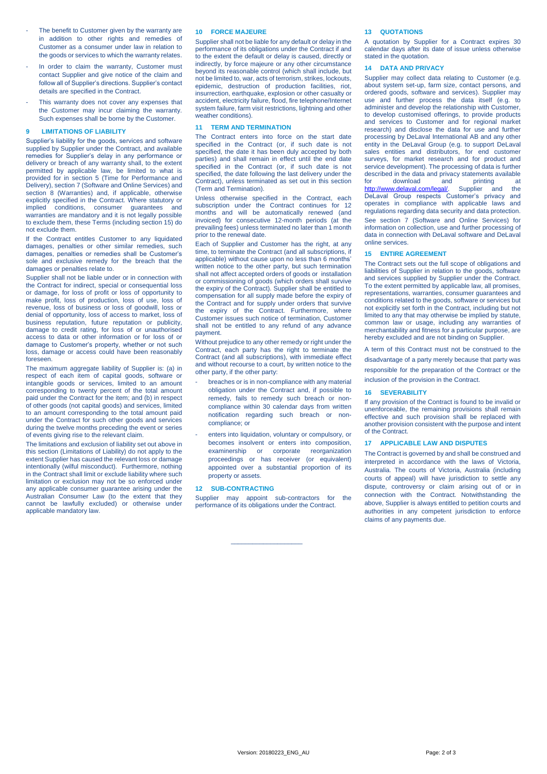- The benefit to Customer given by the warranty are in addition to other rights and remedies of Customer as a consumer under law in relation to the goods or services to which the warranty relates.
- In order to claim the warranty, Customer must contact Supplier and give notice of the claim and follow all of Supplier's directions. Supplier's contact details are specified in the Contract.
- This warranty does not cover any expenses that the Customer may incur claiming the warranty. Such expenses shall be borne by the Customer.

# <span id="page-1-0"></span>**9 LIMITATIONS OF LIABILITY**

Supplier's liability for the goods, services and software supplied by Supplier under the Contract, and available remedies for Supplier's delay in any performance or delivery or breach of any warranty shall, to the extent permitted by applicable law, be limited to what is provided for in section [5](#page-0-1) (Time for Performance and Delivery), sectio[n 7](#page-0-0) (Software and Online Services) and section [8](#page-0-2) (Warranties) and, if applicable, otherwise explicitly specified in the Contract. Where statutory or implied conditions, consumer guarantees and warranties are mandatory and it is not legally possible to exclude them, these Terms (including section [15\)](#page-1-1) do not exclude them.

If the Contract entitles Customer to any liquidated damages, penalties or other similar remedies, such damages, penalties or remedies shall be Customer's sole and exclusive remedy for the breach that the damages or penalties relate to.

Supplier shall not be liable under or in connection with the Contract for indirect, special or consequential loss or damage, for loss of profit or loss of opportunity to make profit, loss of production, loss of use, loss of revenue, loss of business or loss of goodwill, loss or denial of opportunity, loss of access to market, loss of business reputation, future reputation or publicity, damage to credit rating, for loss of or unauthorised access to data or other information or for loss of or damage to Customer's property, whether or not such loss, damage or access could have been reasonably foreseen.

The maximum aggregate liability of Supplier is: (a) in respect of each item of capital goods, software or intangible goods or services, limited to an amount corresponding to twenty percent of the total amount paid under the Contract for the item; and (b) in respect of other goods (not capital goods) and services, limited to an amount corresponding to the total amount paid under the Contract for such other goods and services during the twelve months preceding the event or series of events giving rise to the relevant claim.

The limitations and exclusion of liability set out above in this section (Limitations of Liability) do not apply to the extent Supplier has caused the relevant loss or damage intentionally (wilful misconduct). Furthermore, nothing in the Contract shall limit or exclude liability where such limitation or exclusion may not be so enforced under any applicable consumer guarantee arising under the Australian Consumer Law (to the extent that they cannot be lawfully excluded) or otherwise under applicable mandatory law.

#### **10 FORCE MAJEURE**

Supplier shall not be liable for any default or delay in the performance of its obligations under the Contract if and to the extent the default or delay is caused, directly or indirectly, by force majeure or any other circumstance beyond its reasonable control (which shall include, but not be limited to, war, acts of terrorism, strikes, lockouts, epidemic, destruction of production facilities, riot, insurrection, earthquake, explosion or other casualty or accident, electricity failure, flood, fire telephone/Internet system failure, farm visit restrictions, lightning and other weather conditions).

# **11 TERM AND TERMINATION**

The Contract enters into force on the start date specified in the Contract (or, if such date is not specified, the date it has been duly accepted by both parties) and shall remain in effect until the end date specified in the Contract (or, if such date is not specified, the date following the last delivery under the Contract), unless terminated as set out in this section (Term and Termination).

Unless otherwise specified in the Contract, each subscription under the Contract continues for 12 months and will be automatically renewed (and invoiced) for consecutive 12-month periods (at the prevailing fees) unless terminated no later than 1 month prior to the renewal date.

Each of Supplier and Customer has the right, at any time, to terminate the Contract (and all subscriptions, if applicable) without cause upon no less than 6 months' written notice to the other party, but such termination shall not affect accepted orders of goods or installation or commissioning of goods (which orders shall survive the expiry of the Contract). Supplier shall be entitled to compensation for all supply made before the expiry of the Contract and for supply under orders that survive the expiry of the Contract. Furthermore, where Customer issues such notice of termination, Customer shall not be entitled to any refund of any advance payment.

Without prejudice to any other remedy or right under the Contract, each party has the right to terminate the Contract (and all subscriptions), with immediate effect and without recourse to a court, by written notice to the other party, if the other party:

- breaches or is in non-compliance with any material obligation under the Contract and, if possible to remedy, fails to remedy such breach or noncompliance within 30 calendar days from written notification regarding such breach or noncompliance; or
- enters into liquidation, voluntary or compulsory, or becomes insolvent or enters into composition, examinership or corporate reorganization proceedings or has receiver (or equivalent) appointed over a substantial proportion of its property or assets.

# **12 SUB-CONTRACTING**

Supplier may appoint sub-contractors for the performance of its obligations under the Contract.

 $\overline{\phantom{a}}$  , which is a set of the set of the set of the set of the set of the set of the set of the set of the set of the set of the set of the set of the set of the set of the set of the set of the set of the set of th

#### **13 QUOTATIONS**

A quotation by Supplier for a Contract expires 30 calendar days after its date of issue unless otherwise stated in the quotation.

# **14 DATA AND PRIVACY**

Supplier may collect data relating to Customer (e.g. about system set-up, farm size, contact persons, and ordered goods, software and services). Supplier may use and further process the data itself (e.g. to administer and develop the relationship with Customer, to develop customised offerings, to provide products and services to Customer and for regional market research) and disclose the data for use and further processing by DeLaval International AB and any other entity in the DeLaval Group (e.g. to support DeLaval sales entities and distributors, for end customer surveys, for market research and for product and service development). The processing of data is further described in the data and privacy statements available for download and printing at [http://www.delaval.com/legal/.](http://www.delaval.com/legal/) Supplier and the DeLaval Group respects Customer's privacy and operates in compliance with applicable laws and regulations regarding data security and data protection. See section [7](#page-0-0) (Software and Online Services) for information on collection, use and further processing of data in connection with DeLaval software and DeLaval online services.

#### <span id="page-1-1"></span>**15 ENTIRE AGREEMENT**

The Contract sets out the full scope of obligations and liabilities of Supplier in relation to the goods, software and services supplied by Supplier under the Contract. To the extent permitted by applicable law, all promises, representations, warranties, consumer guarantees and conditions related to the goods, software or services but not explicitly set forth in the Contract, including but not limited to any that may otherwise be implied by statute, common law or usage, including any warranties of merchantability and fitness for a particular purpose, are hereby excluded and are not binding on Supplier.

A term of this Contract must not be construed to the

disadvantage of a party merely because that party was responsible for the preparation of the Contract or the

inclusion of the provision in the Contract.

#### **16 SEVERABILITY**

If any provision of the Contract is found to be invalid or unenforceable, the remaining provisions shall remain effective and such provision shall be replaced with another provision consistent with the purpose and intent of the Contract.

# **17 APPLICABLE LAW AND DISPUTES**

The Contract is governed by and shall be construed and interpreted in accordance with the laws of Victoria, Australia. The courts of Victoria, Australia (including courts of appeal) will have jurisdiction to settle any dispute, controversy or claim arising out of or in connection with the Contract. Notwithstanding the above, Supplier is always entitled to petition courts and authorities in any competent jurisdiction to enforce claims of any payments due.